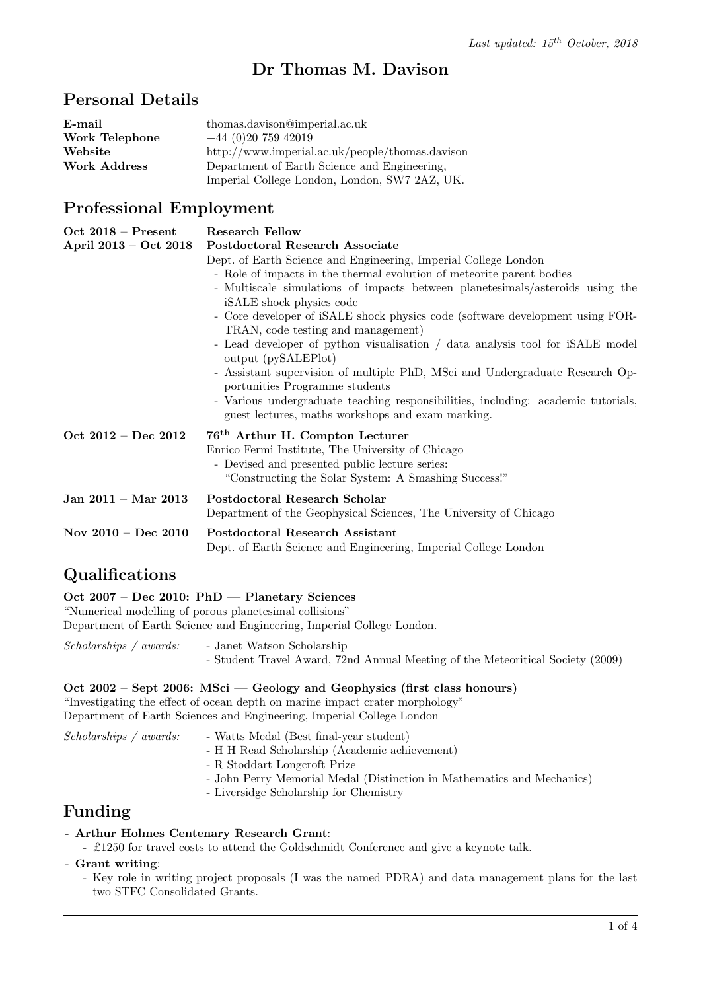# Dr Thomas M. Davison

### Personal Details

| E-mail              | thomas.davison@imperial.ac.uk                   |
|---------------------|-------------------------------------------------|
| Work Telephone      | $+44(0)2075942019$                              |
| Website             | http://www.imperial.ac.uk/people/thomas.davison |
| <b>Work Address</b> | Department of Earth Science and Engineering,    |
|                     | Imperial College London, London, SW7 2AZ, UK.   |

### Professional Employment

| $Oct 2018 - Present$  | <b>Research Fellow</b>                                                                                                                 |
|-----------------------|----------------------------------------------------------------------------------------------------------------------------------------|
| April 2013 - Oct 2018 | Postdoctoral Research Associate                                                                                                        |
|                       | Dept. of Earth Science and Engineering, Imperial College London                                                                        |
|                       | - Role of impacts in the thermal evolution of meteorite parent bodies                                                                  |
|                       | - Multiscale simulations of impacts between planetesimals/asteroids using the                                                          |
|                       | iSALE shock physics code                                                                                                               |
|                       | - Core developer of iSALE shock physics code (software development using FOR-                                                          |
|                       | TRAN, code testing and management)                                                                                                     |
|                       | - Lead developer of python visualisation / data analysis tool for iSALE model<br>output (pySALEPlot)                                   |
|                       | - Assistant supervision of multiple PhD, MSci and Undergraduate Research Op-<br>portunities Programme students                         |
|                       | - Various undergraduate teaching responsibilities, including: academic tutorials,<br>guest lectures, maths workshops and exam marking. |
| Oct 2012 - Dec 2012   | 76 <sup>th</sup> Arthur H. Compton Lecturer                                                                                            |
|                       | Enrico Fermi Institute, The University of Chicago                                                                                      |
|                       | - Devised and presented public lecture series:                                                                                         |
|                       | "Constructing the Solar System: A Smashing Success!"                                                                                   |
| Jan 2011 – Mar 2013   | Postdoctoral Research Scholar                                                                                                          |
|                       | Department of the Geophysical Sciences, The University of Chicago                                                                      |
| Nov $2010 - Dec 2010$ | Postdoctoral Research Assistant                                                                                                        |
|                       | Dept. of Earth Science and Engineering, Imperial College London                                                                        |

### Qualifications

Oct 2007 – Dec 2010: PhD — Planetary Sciences

"Numerical modelling of porous planetesimal collisions"

Department of Earth Science and Engineering, Imperial College London.

 $Scholarships / awards:$  | - Janet Watson Scholarship - Student Travel Award, 72nd Annual Meeting of the Meteoritical Society (2009)

### Oct 2002 – Sept 2006: MSci — Geology and Geophysics (first class honours)

"Investigating the effect of ocean depth on marine impact crater morphology" Department of Earth Sciences and Engineering, Imperial College London

 $Scholarships / awards: \Box$  - Watts Medal (Best final-year student) - H H Read Scholarship (Academic achievement) - R Stoddart Longcroft Prize - John Perry Memorial Medal (Distinction in Mathematics and Mechanics) - Liversidge Scholarship for Chemistry

## Funding

### - Arthur Holmes Centenary Research Grant:

- £1250 for travel costs to attend the Goldschmidt Conference and give a keynote talk.

### - Grant writing:

- Key role in writing project proposals (I was the named PDRA) and data management plans for the last two STFC Consolidated Grants.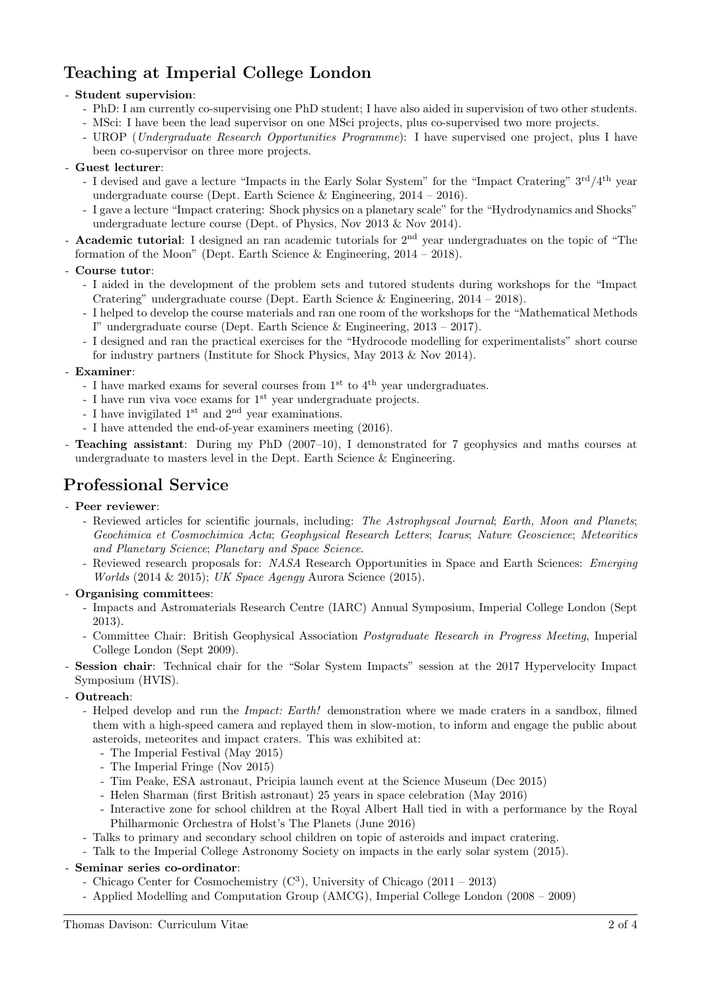# Teaching at Imperial College London

### - Student supervision:

- PhD: I am currently co-supervising one PhD student; I have also aided in supervision of two other students.
- MSci: I have been the lead supervisor on one MSci projects, plus co-supervised two more projects.
- UROP (Undergraduate Research Opportunities Programme): I have supervised one project, plus I have been co-supervisor on three more projects.

### - Guest lecturer:

- I devised and gave a lecture "Impacts in the Early Solar System" for the "Impact Cratering" 3<sup>rd</sup>/4<sup>th</sup> year undergraduate course (Dept. Earth Science & Engineering,  $2014 - 2016$ ).
- I gave a lecture "Impact cratering: Shock physics on a planetary scale" for the "Hydrodynamics and Shocks" undergraduate lecture course (Dept. of Physics, Nov 2013 & Nov 2014).
- **Academic tutorial**: I designed an ran academic tutorials for 2<sup>nd</sup> year undergraduates on the topic of "The formation of the Moon" (Dept. Earth Science  $\&$  Engineering, 2014 – 2018).

### - Course tutor:

- I aided in the development of the problem sets and tutored students during workshops for the "Impact Cratering" undergraduate course (Dept. Earth Science & Engineering,  $2014 - 2018$ ).
- I helped to develop the course materials and ran one room of the workshops for the "Mathematical Methods I" undergraduate course (Dept. Earth Science & Engineering, 2013 – 2017).
- I designed and ran the practical exercises for the "Hydrocode modelling for experimentalists" short course for industry partners (Institute for Shock Physics, May 2013 & Nov 2014).

### - Examiner:

- I have marked exams for several courses from  $1^{\rm st}$  to  $4^{\rm th}$  year undergraduates.
- I have run viva voce exams for 1<sup>st</sup> year undergraduate projects.
- I have invigilated 1<sup>st</sup> and 2<sup>nd</sup> year examinations.
- I have attended the end-of-year examiners meeting (2016).
- Teaching assistant: During my PhD (2007–10), I demonstrated for 7 geophysics and maths courses at undergraduate to masters level in the Dept. Earth Science & Engineering.

## Professional Service

### - Peer reviewer:

- Reviewed articles for scientific journals, including: The Astrophyscal Journal; Earth, Moon and Planets; Geochimica et Cosmochimica Acta; Geophysical Research Letters; Icarus; Nature Geoscience; Meteoritics and Planetary Science; Planetary and Space Science.
- Reviewed research proposals for: NASA Research Opportunities in Space and Earth Sciences: Emerging Worlds (2014 & 2015); UK Space Agengy Aurora Science (2015).

### - Organising committees:

- Impacts and Astromaterials Research Centre (IARC) Annual Symposium, Imperial College London (Sept 2013).
- Committee Chair: British Geophysical Association Postgraduate Research in Progress Meeting, Imperial College London (Sept 2009).
- Session chair: Technical chair for the "Solar System Impacts" session at the 2017 Hypervelocity Impact Symposium (HVIS).

### - Outreach:

- Helped develop and run the *Impact: Earth!* demonstration where we made craters in a sandbox, filmed them with a high-speed camera and replayed them in slow-motion, to inform and engage the public about asteroids, meteorites and impact craters. This was exhibited at:
	- The Imperial Festival (May 2015)
	- The Imperial Fringe (Nov 2015)
	- Tim Peake, ESA astronaut, Pricipia launch event at the Science Museum (Dec 2015)
	- Helen Sharman (first British astronaut) 25 years in space celebration (May 2016)
	- Interactive zone for school children at the Royal Albert Hall tied in with a performance by the Royal Philharmonic Orchestra of Holst's The Planets (June 2016)
- Talks to primary and secondary school children on topic of asteroids and impact cratering.
- Talk to the Imperial College Astronomy Society on impacts in the early solar system (2015).

### - Seminar series co-ordinator:

- Chicago Center for Cosmochemistry  $(C^3)$ , University of Chicago  $(2011 2013)$
- Applied Modelling and Computation Group (AMCG), Imperial College London (2008 2009)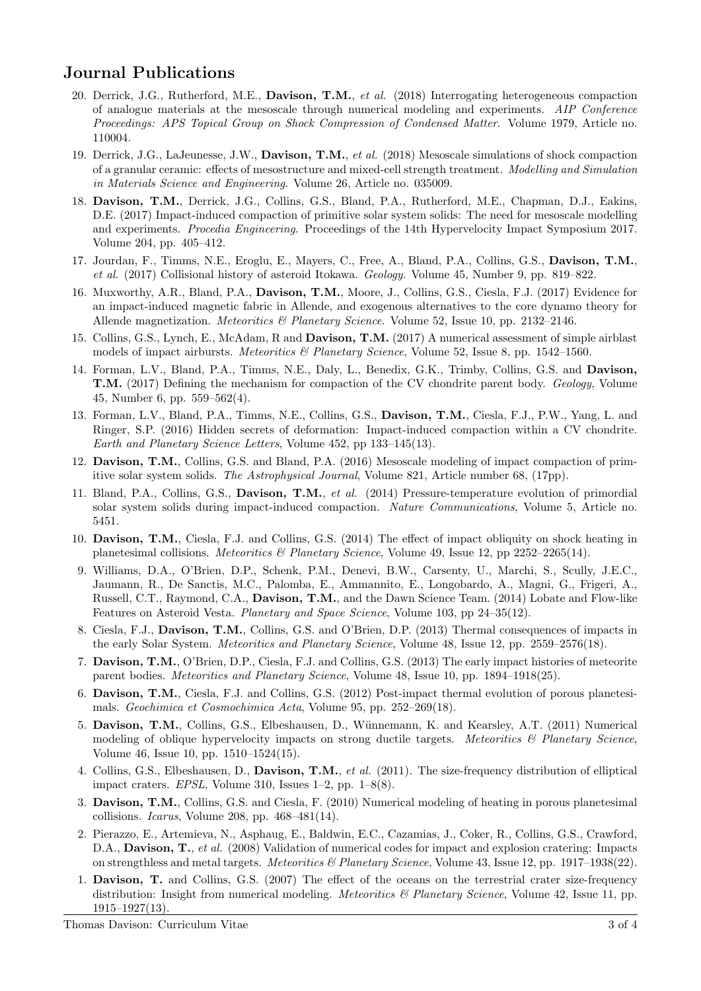## Journal Publications

- 20. Derrick, J.G., Rutherford, M.E., Davison, T.M., et al. (2018) Interrogating heterogeneous compaction of analogue materials at the mesoscale through numerical modeling and experiments. AIP Conference Proceedings: APS Topical Group on Shock Compression of Condensed Matter. Volume 1979, Article no. 110004.
- 19. Derrick, J.G., LaJeunesse, J.W., Davison, T.M., et al. (2018) Mesoscale simulations of shock compaction of a granular ceramic: effects of mesostructure and mixed-cell strength treatment. Modelling and Simulation in Materials Science and Engineering. Volume 26, Article no. 035009.
- 18. Davison, T.M., Derrick, J.G., Collins, G.S., Bland, P.A., Rutherford, M.E., Chapman, D.J., Eakins, D.E. (2017) Impact-induced compaction of primitive solar system solids: The need for mesoscale modelling and experiments. Procedia Engineering. Proceedings of the 14th Hypervelocity Impact Symposium 2017. Volume 204, pp. 405–412.
- 17. Jourdan, F., Timms, N.E., Eroglu, E., Mayers, C., Free, A., Bland, P.A., Collins, G.S., Davison, T.M., et al. (2017) Collisional history of asteroid Itokawa. Geology. Volume 45, Number 9, pp. 819–822.
- 16. Muxworthy, A.R., Bland, P.A., Davison, T.M., Moore, J., Collins, G.S., Ciesla, F.J. (2017) Evidence for an impact-induced magnetic fabric in Allende, and exogenous alternatives to the core dynamo theory for Allende magnetization. *Meteoritics & Planetary Science*. Volume 52, Issue 10, pp. 2132–2146.
- 15. Collins, G.S., Lynch, E., McAdam, R and Davison, T.M. (2017) A numerical assessment of simple airblast models of impact airbursts. *Meteoritics & Planetary Science*, Volume 52, Issue 8, pp. 1542–1560.
- 14. Forman, L.V., Bland, P.A., Timms, N.E., Daly, L., Benedix, G.K., Trimby, Collins, G.S. and Davison, T.M. (2017) Defining the mechanism for compaction of the CV chondrite parent body. Geology, Volume 45, Number 6, pp. 559–562(4).
- 13. Forman, L.V., Bland, P.A., Timms, N.E., Collins, G.S., Davison, T.M., Ciesla, F.J., P.W., Yang, L. and Ringer, S.P. (2016) Hidden secrets of deformation: Impact-induced compaction within a CV chondrite. Earth and Planetary Science Letters, Volume 452, pp 133–145(13).
- 12. Davison, T.M., Collins, G.S. and Bland, P.A. (2016) Mesoscale modeling of impact compaction of primitive solar system solids. The Astrophysical Journal, Volume 821, Article number 68, (17pp).
- 11. Bland, P.A., Collins, G.S., Davison, T.M., et al. (2014) Pressure-temperature evolution of primordial solar system solids during impact-induced compaction. Nature Communications, Volume 5, Article no. 5451.
- 10. Davison, T.M., Ciesla, F.J. and Collins, G.S. (2014) The effect of impact obliquity on shock heating in planetesimal collisions. *Meteoritics & Planetary Science*, Volume 49, Issue 12, pp 2252–2265(14).
- 9. Williams, D.A., O'Brien, D.P., Schenk, P.M., Denevi, B.W., Carsenty, U., Marchi, S., Scully, J.E.C., Jaumann, R., De Sanctis, M.C., Palomba, E., Ammannito, E., Longobardo, A., Magni, G., Frigeri, A., Russell, C.T., Raymond, C.A., Davison, T.M., and the Dawn Science Team. (2014) Lobate and Flow-like Features on Asteroid Vesta. Planetary and Space Science, Volume 103, pp 24–35(12).
- 8. Ciesla, F.J., Davison, T.M., Collins, G.S. and O'Brien, D.P. (2013) Thermal consequences of impacts in the early Solar System. Meteoritics and Planetary Science, Volume 48, Issue 12, pp. 2559–2576(18).
- 7. Davison, T.M., O'Brien, D.P., Ciesla, F.J. and Collins, G.S. (2013) The early impact histories of meteorite parent bodies. Meteoritics and Planetary Science, Volume 48, Issue 10, pp. 1894–1918(25).
- 6. Davison, T.M., Ciesla, F.J. and Collins, G.S. (2012) Post-impact thermal evolution of porous planetesimals. Geochimica et Cosmochimica Acta, Volume 95, pp. 252–269(18).
- 5. Davison, T.M., Collins, G.S., Elbeshausen, D., Wünnemann, K. and Kearsley, A.T. (2011) Numerical modeling of oblique hypervelocity impacts on strong ductile targets. Meteoritics  $\mathcal B$  Planetary Science, Volume 46, Issue 10, pp. 1510–1524(15).
- 4. Collins, G.S., Elbeshausen, D., Davison, T.M., et al. (2011). The size-frequency distribution of elliptical impact craters. EPSL, Volume 310, Issues  $1-2$ , pp.  $1-8(8)$ .
- 3. Davison, T.M., Collins, G.S. and Ciesla, F. (2010) Numerical modeling of heating in porous planetesimal collisions. Icarus, Volume 208, pp. 468–481(14).
- 2. Pierazzo, E., Artemieva, N., Asphaug, E., Baldwin, E.C., Cazamias, J., Coker, R., Collins, G.S., Crawford, D.A., **Davison, T.**, et al. (2008) Validation of numerical codes for impact and explosion cratering: Impacts on strengthless and metal targets. Meteoritics & Planetary Science, Volume 43, Issue 12, pp. 1917–1938(22).
- 1. Davison, T. and Collins, G.S. (2007) The effect of the oceans on the terrestrial crater size-frequency distribution: Insight from numerical modeling. Meteoritics  $\mathcal{C}$  Planetary Science, Volume 42, Issue 11, pp. 1915–1927(13).